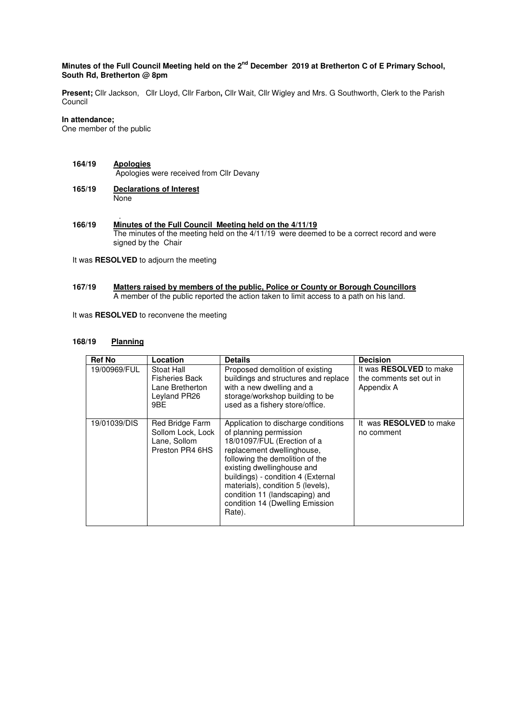# **Minutes of the Full Council Meeting held on the 2nd December 2019 at Bretherton C of E Primary School, South Rd, Bretherton @ 8pm**

**Present;** Cllr Jackson, Cllr Lloyd, Cllr Farbon**,** Cllr Wait, Cllr Wigley and Mrs. G Southworth, Clerk to the Parish Council

# **In attendance;**

One member of the public

- **164/19 Apologies** Apologies were received from Cllr Devany
- **165/19 Declarations of Interest None**
- . **166/19 Minutes of the Full Council Meeting held on the 4/11/19**  The minutes of the meeting held on the 4/11/19 were deemed to be a correct record and were signed by the Chair

It was **RESOLVED** to adjourn the meeting

#### **167/19 Matters raised by members of the public, Police or County or Borough Councillors**  A member of the public reported the action taken to limit access to a path on his land.

It was **RESOLVED** to reconvene the meeting

#### **168/19 Planning**

| <b>Ref No</b> | Location                                                                      | <b>Details</b>                                                                                                                                                                                                                                                                                                                                        | <b>Decision</b>                                                         |
|---------------|-------------------------------------------------------------------------------|-------------------------------------------------------------------------------------------------------------------------------------------------------------------------------------------------------------------------------------------------------------------------------------------------------------------------------------------------------|-------------------------------------------------------------------------|
| 19/00969/FUL  | Stoat Hall<br><b>Fisheries Back</b><br>Lane Bretherton<br>Leyland PR26<br>9BE | Proposed demolition of existing<br>buildings and structures and replace<br>with a new dwelling and a<br>storage/workshop building to be<br>used as a fishery store/office.                                                                                                                                                                            | It was <b>RESOLVED</b> to make<br>the comments set out in<br>Appendix A |
| 19/01039/DIS  | Red Bridge Farm<br>Sollom Lock, Lock<br>Lane, Sollom<br>Preston PR4 6HS       | Application to discharge conditions<br>of planning permission<br>18/01097/FUL (Erection of a<br>replacement dwellinghouse,<br>following the demolition of the<br>existing dwellinghouse and<br>buildings) - condition 4 (External<br>materials), condition 5 (levels),<br>condition 11 (landscaping) and<br>condition 14 (Dwelling Emission<br>Rate). | It was <b>RESOLVED</b> to make<br>no comment                            |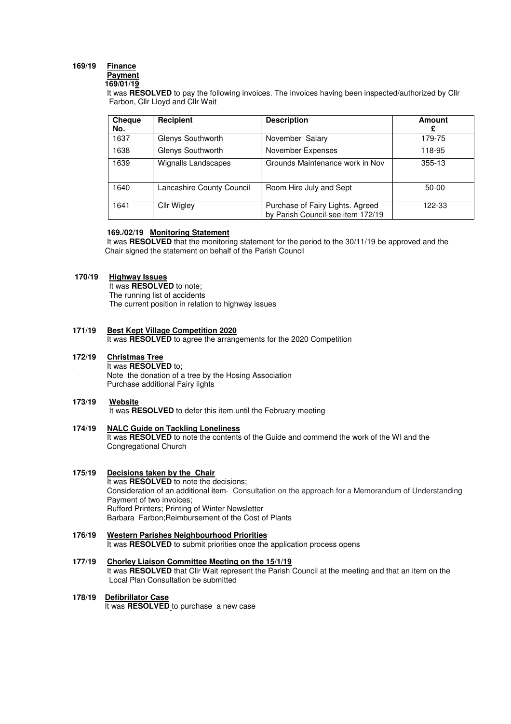# **169/19 Finance**

#### **Payment 169/01/19**

 It was **RESOLVED** to pay the following invoices. The invoices having been inspected/authorized by Cllr Farbon, Cllr Lloyd and Cllr Wait

| Cheque<br>No. | Recipient                  | <b>Description</b>                                                    | Amount     |
|---------------|----------------------------|-----------------------------------------------------------------------|------------|
| 1637          | Glenys Southworth          | November Salary                                                       | 179-75     |
| 1638          | Glenys Southworth          | November Expenses                                                     | 118-95     |
| 1639          | <b>Wignalls Landscapes</b> | Grounds Maintenance work in Nov                                       | $355 - 13$ |
| 1640          | Lancashire County Council  | Room Hire July and Sept                                               | $50 - 00$  |
| 1641          | <b>Cllr Wigley</b>         | Purchase of Fairy Lights. Agreed<br>by Parish Council-see item 172/19 | 122-33     |

# **169./02/19 Monitoring Statement**

 It was **RESOLVED** that the monitoring statement for the period to the 30/11/19 be approved and the Chair signed the statement on behalf of the Parish Council

# **170/19 Highway Issues**

 It was **RESOLVED** to note; The running list of accidents The current position in relation to highway issues

## **171/19 Best Kept Village Competition 2020**

It was **RESOLVED** to agree the arrangements for the 2020 Competition

#### **172/19 Christmas Tree**

 It was **RESOLVED** to; Note the donation of a tree by the Hosing Association Purchase additional Fairy lights

#### 173/19 **173/19 Website**

It was **RESOLVED** to defer this item until the February meeting

#### **174/19 NALC Guide on Tackling Loneliness**  It was **RESOLVED** to note the contents of the Guide and commend the work of the WI and the Congregational Church

#### **175/19 Decisions taken by the Chair**  It was **RESOLVED** to note the decisions; Consideration of an additional item- Consultation on the approach for a Memorandum of Understanding Payment of two invoices; Rufford Printers; Printing of Winter Newsletter Barbara Farbon;Reimbursement of the Cost of Plants

## **176/19 Western Parishes Neighbourhood Priorities**  It was **RESOLVED** to submit priorities once the application process opens

**177/19 Chorley Liaison Committee Meeting on the 15/1/19**  It was **RESOLVED** that Cllr Wait represent the Parish Council at the meeting and that an item on the Local Plan Consultation be submitted

# **178/19 Defibrillator Case**

It was **RESOLVED** to purchase a new case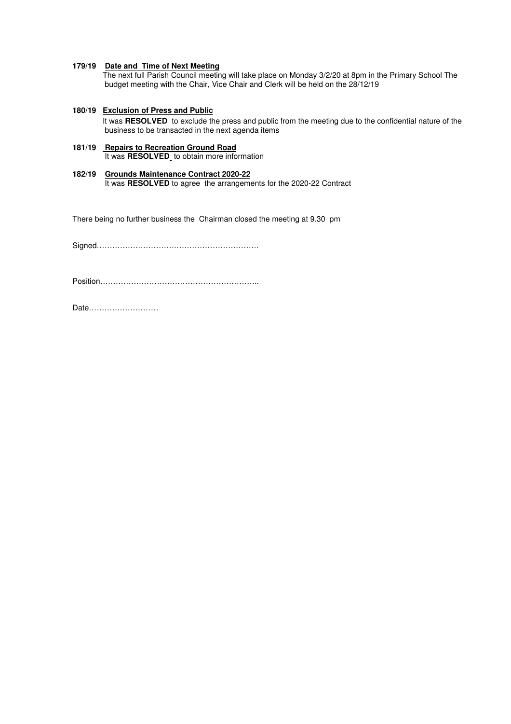#### **179/19 Date and Time of Next Meeting**

 The next full Parish Council meeting will take place on Monday 3/2/20 at 8pm in the Primary School The budget meeting with the Chair, Vice Chair and Clerk will be held on the 28/12/19

**180/19 Exclusion of Press and Public**

 It was **RESOLVED** to exclude the press and public from the meeting due to the confidential nature of the business to be transacted in the next agenda items

#### **181/19 Repairs to Recreation Ground Road**  It was **RESOLVED** to obtain more information

**182/19 Grounds Maintenance Contract 2020-22**  It was **RESOLVED** to agree the arrangements for the 2020-22 Contract

There being no further business the Chairman closed the meeting at 9.30 pm

Signed………………………………………………………

Position……………………………………………………..

Date………………………